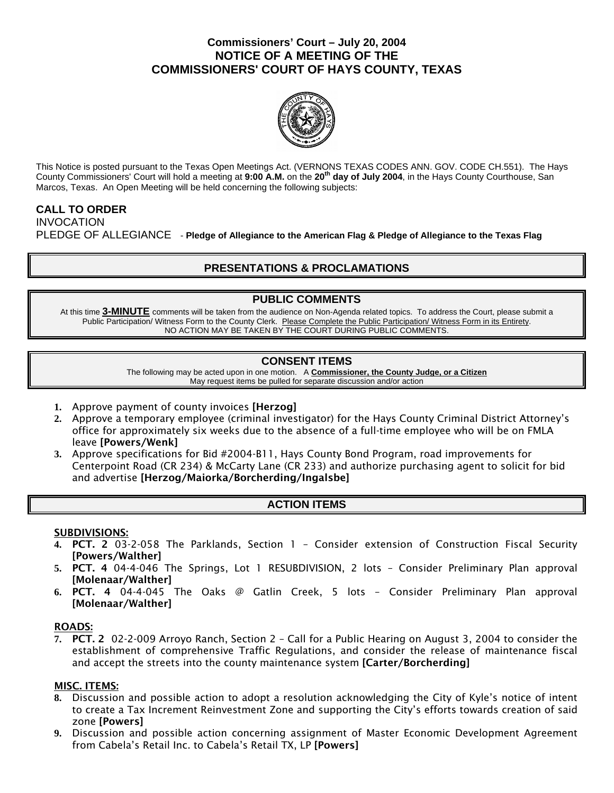## **Commissioners' Court – July 20, 2004 NOTICE OF A MEETING OF THE COMMISSIONERS' COURT OF HAYS COUNTY, TEXAS**



This Notice is posted pursuant to the Texas Open Meetings Act. (VERNONS TEXAS CODES ANN. GOV. CODE CH.551). The Hays County Commissioners' Court will hold a meeting at **9:00 A.M.** on the **20th day of July 2004**, in the Hays County Courthouse, San Marcos, Texas. An Open Meeting will be held concerning the following subjects:

# **CALL TO ORDER**

INVOCATION PLEDGE OF ALLEGIANCE - **Pledge of Allegiance to the American Flag & Pledge of Allegiance to the Texas Flag** 

# **PRESENTATIONS & PROCLAMATIONS**

# **PUBLIC COMMENTS**

At this time **3-MINUTE** comments will be taken from the audience on Non-Agenda related topics. To address the Court, please submit a Public Participation/ Witness Form to the County Clerk. Please Complete the Public Participation/ Witness Form in its Entirety. NO ACTION MAY BE TAKEN BY THE COURT DURING PUBLIC COMMENTS.

# **CONSENT ITEMS**

The following may be acted upon in one motion. A **Commissioner, the County Judge, or a Citizen** May request items be pulled for separate discussion and/or action

- **1.** Approve payment of county invoices [Herzog]
- **2.** Approve a temporary employee (criminal investigator) for the Hays County Criminal District Attorney's office for approximately six weeks due to the absence of a full-time employee who will be on FMLA leave [Powers/Wenk]
- **3.** Approve specifications for Bid #2004-B11, Hays County Bond Program, road improvements for Centerpoint Road (CR 234) & McCarty Lane (CR 233) and authorize purchasing agent to solicit for bid and advertise [Herzog/Maiorka/Borcherding/Ingalsbe]

# **ACTION ITEMS**

#### SUBDIVISIONS:

- **4.** PCT. 2 03-2-058 The Parklands, Section 1 Consider extension of Construction Fiscal Security [Powers/Walther]
- **5.** PCT. 4 04-4-046 The Springs, Lot 1 RESUBDIVISION, 2 lots Consider Preliminary Plan approval [Molenaar/Walther]
- **6.** PCT. 4 04-4-045 The Oaks @ Gatlin Creek, 5 lots Consider Preliminary Plan approval [Molenaar/Walther]

#### ROADS:

**7.** PCT. 2 02-2-009 Arroyo Ranch, Section 2 – Call for a Public Hearing on August 3, 2004 to consider the establishment of comprehensive Traffic Regulations, and consider the release of maintenance fiscal and accept the streets into the county maintenance system [Carter/Borcherding]

### MISC. ITEMS:

- **8.** Discussion and possible action to adopt a resolution acknowledging the City of Kyle's notice of intent to create a Tax Increment Reinvestment Zone and supporting the City's efforts towards creation of said zone [Powers]
- **9.** Discussion and possible action concerning assignment of Master Economic Development Agreement from Cabela's Retail Inc. to Cabela's Retail TX, LP [Powers]